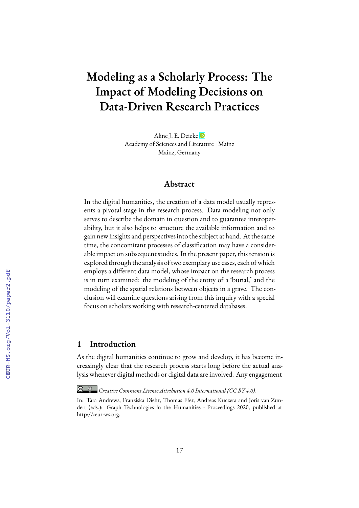# **Modeling as a Scholarly Process: The Impact of Modeling Decisions on Data-Driven Research Practices**

Aline J. E. Deicke Academy of Sciences and Literature | Mainz Mainz, Germany

### **Abstract**

In the digital humanities, the creation of a data model usually represents a pivotal stage in the research process. Data modeling not only serves to describe the domain in question and to guarantee interoperability, but it also helps to structure the available information and to gain new insights and perspectives into the subject at hand. At the same time, the concomitant processes of classification may have a considerable impact on subsequent studies. In the present paper, this tension is explored through the analysis of two exemplary use cases, each of which employs a different data model, whose impact on the research process is in turn examined: the modeling of the entity of a 'burial,' and the modeling of the spatial relations between objects in a grave. The conclusion will examine questions arising from this inquiry with a special focus on scholars working with research-centered databases.

## **1 Introduction**

As the digital humanities continue to grow and develop, it has become increasingly clear that the research process starts long before the actual analysis whenever digital methods or digital data are involved. Any engagement

*Creative Commons License Attribution 4.0 International (CC BY 4.0).*

In: Tara Andrews, Franziska Diehr, Thomas Efer, Andreas Kuczera and Joris van Zundert (eds.): Graph Technologies in the Humanities - Proceedings 2020, published at http://ceur-ws.org.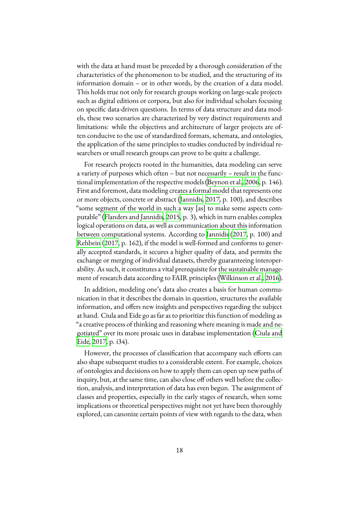with the data at hand must be preceded by a thorough consideration of the characteristics of the phenomenon to be studied, and the structuring of its information domain – or in other words, by the creation of a data model. This holds true not only for research groups working on large-scale projects such as digital editions or corpora, but also for individual scholars focusing on specific data-driven questions. In terms of data structure and data models, these two scenarios are characterized by very distinct requirements and limitations: while the objectives and architecture of larger projects are often conducive to the use of standardized formats, schemata, and ontologies, the application of the same principles to studies conducted by individual researchers or small research groups can prove to be quite a challenge.

For research projects rooted in the humanities, data modeling can serve a variety of purposes which often – but not necessarily – result in the functional implementation of the respective models([Beynon et al.,](#page-17-0) [2006,](#page-17-0) p. 146). First and foremost, data modeling creates a formal model that represents one or more objects, concrete or abstract([Jannidis,](#page-19-0) [2017](#page-19-0), p. 100), and describes "some segment of the world in such a way [as] to make some aspects computable" [\(Flanders and Jannidis,](#page-18-0) [2015](#page-18-0), p. 3), which in turn enables complex logical operations on data, as well as communication about this information between computational systems. According to [Jannidis](#page-19-0) ([2017,](#page-19-0) p. 100) and [Rehbein](#page-19-1) [\(2017](#page-19-1), p. 162), if the model is well-formed and conforms to generally accepted standards, it secures a higher quality of data, and permits the exchange or merging of individual datasets, thereby guaranteeing interoperability. As such, it constitutes a vital prerequisite for the sustainable management of research data according to FAIR principles [\(Wilkinson et al.](#page-20-0), [2016](#page-20-0)).

In addition, modeling one's data also creates a basis for human communication in that it describes the domain in question, structures the available information, and offers new insights and perspectives regarding the subject at hand. Ciula and Eide go as far as to prioritize this function of modeling as "a creative process of thinking and reasoning where meaning is made and negotiated" over its more prosaic uses in database implementation([Ciula and](#page-17-1) [Eide,](#page-17-1) [2017](#page-17-1), p. i34).

However, the processes of classification that accompany such efforts can also shape subsequent studies to a considerable extent. For example, choices of ontologies and decisions on how to apply them can open up new paths of inquiry, but, at the same time, can also close off others well before the collection, analysis, and interpretation of data has even begun. The assignment of classes and properties, especially in the early stages of research, when some implications or theoretical perspectives might not yet have been thoroughly explored, can canonize certain points of view with regards to the data, when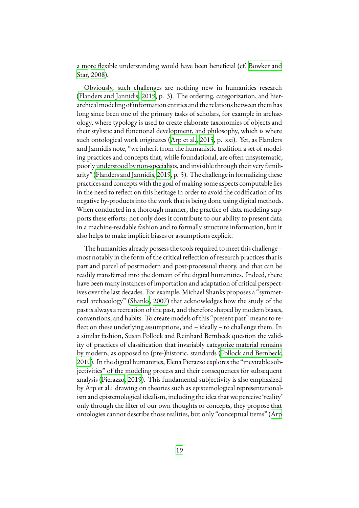a more flexible understanding would have been beneficial (cf. [Bowker and](#page-17-2) [Star,](#page-17-2) [2008\)](#page-17-2).

Obviously, such challenges are nothing new in humanities research ([Flanders and Jannidis](#page-18-1), [2019,](#page-18-1) p. 3). The ordering, categorization, and hierarchical modeling of information entities and the relations between them has long since been one of the primary tasks of scholars, for example in archaeology, where typology is used to create elaborate taxonomies of objects and their stylistic and functional development, and philosophy, which is where such ontological work originates([Arp et al.,](#page-17-3) [2015](#page-17-3), p. xxi). Yet, as Flanders and Jannidis note, "we inherit from the humanistic tradition a set of modeling practices and concepts that, while foundational, are often unsystematic, poorly understood by non-specialists, and invisible through their very familiarity"([Flanders and Jannidis](#page-18-1), [2019](#page-18-1), p. 5). The challenge in formalizing these practices and concepts with the goal of making some aspects computable lies in the need to reflect on this heritage in order to avoid the codification of its negative by-products into the work that is being done using digital methods. When conducted in a thorough manner, the practice of data modeling supports these efforts: not only does it contribute to our ability to present data in a machine-readable fashion and to formally structure information, but it also helps to make implicit biases or assumptions explicit.

The humanities already possess the tools required to meet this challenge – most notably in the form of the critical reflection of research practices that is part and parcel of postmodern and post-processual theory, and that can be readily transferred into the domain of the digital humanities. Indeed, there have been many instances of importation and adaptation of critical perspectives over the last decades. For example, Michael Shanks proposes a "symmetrical archaeology"([Shanks](#page-20-1), [2007\)](#page-20-1) that acknowledges how the study of the past is always a recreation of the past, and therefore shaped by modern biases, conventions, and habits. To create models of this "present past" means to reflect on these underlying assumptions, and – ideally – to challenge them. In a similar fashion, Susan Pollock and Reinhard Bernbeck question the validity of practices of classification that invariably categorize material remains by modern, as opposed to (pre-)historic, standards [\(Pollock and Bernbeck](#page-19-2), [2010\)](#page-19-2). In the digital humanities, Elena Pierazzo explores the "inevitable subjectivities" of the modeling process and their consequences for subsequent analysis([Pierazzo](#page-19-3), [2019\)](#page-19-3). This fundamental subjectivity is also emphasized by Arp et al.: drawing on theories such as epistemological representationalism and epistemological idealism, including the idea that we perceive 'reality' only through the filter of our own thoughts or concepts, they propose that ontologies cannot describe those realities, but only "conceptual items" [\(Arp](#page-17-3)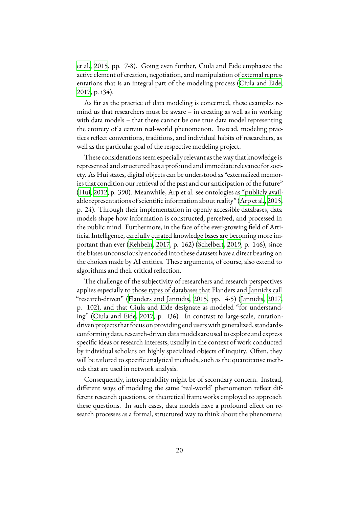[et al.,](#page-17-3) [2015,](#page-17-3) pp. 7-8). Going even further, Ciula and Eide emphasize the active element of creation, negotiation, and manipulation of external representations that is an integral part of the modeling process([Ciula and Eide](#page-17-1), [2017,](#page-17-1) p. i34).

As far as the practice of data modeling is concerned, these examples remind us that researchers must be aware – in creating as well as in working with data models – that there cannot be one true data model representing the entirety of a certain real-world phenomenon. Instead, modeling practices reflect conventions, traditions, and individual habits of researchers, as well as the particular goal of the respective modeling project.

These considerations seem especially relevant as the way that knowledge is represented and structured has a profound and immediate relevance for society. As Hui states, digital objects can be understood as "externalized memories that condition our retrieval of the past and our anticipation of the future" ([Hui,](#page-18-2) [2012](#page-18-2), p. 390). Meanwhile, Arp et al. see ontologies as "publicly available representations of scientific information about reality"([Arp et al.,](#page-17-3) [2015](#page-17-3), p. 24). Through their implementation in openly accessible databases, data models shape how information is constructed, perceived, and processed in the public mind. Furthermore, in the face of the ever-growing field of Artificial Intelligence, carefully curated knowledge bases are becoming more important than ever([Rehbein](#page-19-1), [2017,](#page-19-1) p. 162) [\(Schelbert](#page-20-2), [2019,](#page-20-2) p. 146), since the biases unconsciously encoded into these datasets have a direct bearing on the choices made by AI entities. These arguments, of course, also extend to algorithms and their critical reflection.

The challenge of the subjectivity of researchers and research perspectives applies especially to those types of databases that Flanders and Jannidis call "research-driven"([Flanders and Jannidis,](#page-18-0) [2015](#page-18-0), pp. 4-5) [\(Jannidis,](#page-19-0) [2017](#page-19-0), p. 102), and that Ciula and Eide designate as modeled "for understanding"([Ciula and Eide](#page-17-1), [2017,](#page-17-1) p. i36). In contrast to large-scale, curationdriven projects that focus on providing end users with generalized, standardsconforming data, research-driven data models are used to explore and express specific ideas or research interests, usually in the context of work conducted by individual scholars on highly specialized objects of inquiry. Often, they will be tailored to specific analytical methods, such as the quantitative methods that are used in network analysis.

Consequently, interoperability might be of secondary concern. Instead, different ways of modeling the same 'real-world' phenomenon reflect different research questions, or theoretical frameworks employed to approach these questions. In such cases, data models have a profound effect on research processes as a formal, structured way to think about the phenomena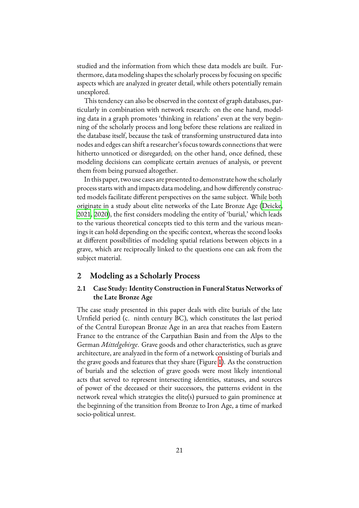studied and the information from which these data models are built. Furthermore, data modeling shapes the scholarly process by focusing on specific aspects which are analyzed in greater detail, while others potentially remain unexplored.

This tendency can also be observed in the context of graph databases, particularly in combination with network research: on the one hand, modeling data in a graph promotes 'thinking in relations' even at the very beginning of the scholarly process and long before these relations are realized in the database itself, because the task of transforming unstructured data into nodes and edges can shift a researcher's focus towards connections that were hitherto unnoticed or disregarded; on the other hand, once defined, these modeling decisions can complicate certain avenues of analysis, or prevent them from being pursued altogether.

In this paper, two use cases are presented to demonstrate how the scholarly process starts with and impacts data modeling, and how differently constructed models facilitate different perspectives on the same subject. While both originate in a study about elite networks of the Late Bronze Age([Deicke](#page-18-3), [2021,](#page-18-3) [2020\)](#page-18-4), the first considers modeling the entity of 'burial,' which leads to the various theoretical concepts tied to this term and the various meanings it can hold depending on the specific context, whereas the second looks at different possibilities of modeling spatial relations between objects in a grave, which are reciprocally linked to the questions one can ask from the subject material.

#### **2 Modeling as a Scholarly Process**

## **2.1 Case Study: Identity Construction in Funeral Status Networks of the Late Bronze Age**

The case study presented in this paper deals with elite burials of the late Urnfield period (c. ninth century BC), which constitutes the last period of the Central European Bronze Age in an area that reaches from Eastern France to the entrance of the Carpathian Basin and from the Alps to the German *Mittelgebirge*. Grave goods and other characteristics, such as grave architecture, are analyzed in the form of a network consisting of burials and the grave goods and features that they share (Figure [1\)](#page-5-0). As the construction of burials and the selection of grave goods were most likely intentional acts that served to represent intersecting identities, statuses, and sources of power of the deceased or their successors, the patterns evident in the network reveal which strategies the elite(s) pursued to gain prominence at the beginning of the transition from Bronze to Iron Age, a time of marked socio-political unrest.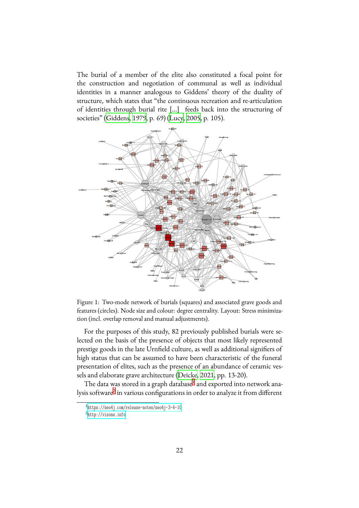The burial of a member of the elite also constituted a focal point for the construction and negotiation of communal as well as individual identities in a manner analogous to Giddens' theory of the duality of structure, which states that "the continuous recreation and re-articulation of identities through burial rite [...] feeds back into the structuring of societies"([Giddens,](#page-18-5) [1979,](#page-18-5) p. 69) [\(Lucy](#page-19-4), [2005](#page-19-4), p. 105).

<span id="page-5-0"></span>

Figure 1: Two-mode network of burials (squares) and associated grave goods and features (circles). Node size and colour: degree centrality. Layout: Stress minimization (incl. overlap removal and manual adjustments).

For the purposes of this study, 82 previously published burials were selected on the basis of the presence of objects that most likely represented prestige goods in the late Urnfield culture, as well as additional signifiers of high status that can be assumed to have been characteristic of the funeral presentation of elites, such as the presence of an abundance of ceramic vessels and elaborate grave architecture [\(Deicke,](#page-18-3) [2021,](#page-18-3) pp. 13-20).

The data was stored in a graph database<sup>[1](#page-5-1)</sup> and exported into network analysis software $^2$  $^2$  in various configurations in order to analyze it from different

<span id="page-5-1"></span><sup>1</sup> <https://neo4j.com/release-notes/neo4j-3-4-10>

<span id="page-5-2"></span><sup>2</sup> <http://visone.info>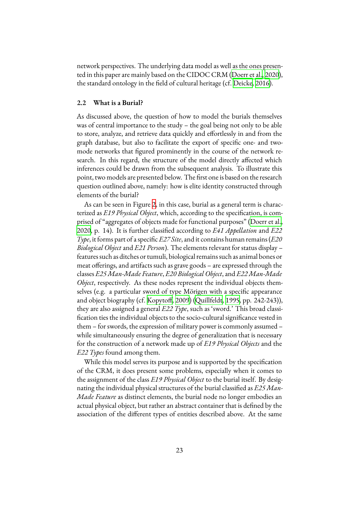network perspectives. The underlying data model as well as the ones presented in this paper are mainly based on the CIDOC CRM [\(Doerr et al.,](#page-18-6) [2020\)](#page-18-6), the standard ontology in the field of cultural heritage (cf. [Deicke,](#page-17-4) [2016\)](#page-17-4).

#### **2.2 What is a Burial?**

As discussed above, the question of how to model the burials themselves was of central importance to the study – the goal being not only to be able to store, analyze, and retrieve data quickly and effortlessly in and from the graph database, but also to facilitate the export of specific one- and twomode networks that figured prominently in the course of the network research. In this regard, the structure of the model directly affected which inferences could be drawn from the subsequent analysis. To illustrate this point, two models are presented below. The first one is based on the research question outlined above, namely: how is elite identity constructed through elements of the burial?

As can be seen in Figure [2](#page-9-0), in this case, burial as a general term is characterized as *E19 Physical Object*, which, according to the specification, is comprised of "aggregates of objects made for functional purposes" [\(Doerr et al.](#page-18-6), [2020,](#page-18-6) p. 14). It is further classified according to *E41 Appellation* and *E22 Type*, it forms part of a specific *E27 Site*, and it contains human remains (*E20 Biological Object* and *E21 Person*). The elements relevant for status display – features such as ditches or tumuli, biological remains such as animal bones or meat offerings, and artifacts such as grave goods – are expressed through the classes *E25 Man-Made Feature*, *E20 Biological Object*, and *E22 Man-Made Object*, respectively. As these nodes represent the individual objects themselves (e.g. a particular sword of type Mörigen with a specific appearance and object biography (cf. [Kopytoff,](#page-19-5) [2009\)](#page-19-5) [\(Quillfeldt,](#page-19-6) [1995](#page-19-6), pp. 242-243)), they are also assigned a general *E22 Type*, such as 'sword.' This broad classification ties the individual objects to the socio-cultural significance vested in them – for swords, the expression of military power is commonly assumed – while simultaneously ensuring the degree of generalization that is necessary for the construction of a network made up of *E19 Physical Objects* and the *E22 Types* found among them.

While this model serves its purpose and is supported by the specification of the CRM, it does present some problems, especially when it comes to the assignment of the class *E19 Physical Object* to the burial itself. By designating the individual physical structures of the burial classified as *E25 Man-Made Feature* as distinct elements, the burial node no longer embodies an actual physical object, but rather an abstract container that is defined by the association of the different types of entities described above. At the same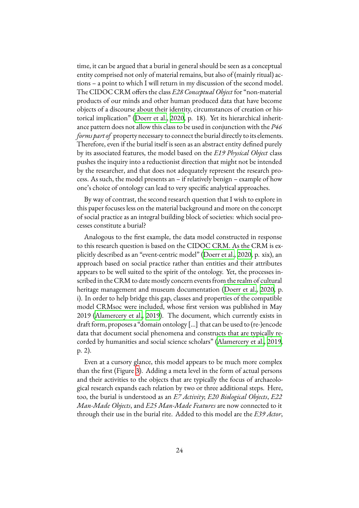time, it can be argued that a burial in general should be seen as a conceptual entity comprised not only of material remains, but also of (mainly ritual) actions – a point to which I will return in my discussion of the second model. The CIDOC CRM offers the class *E28 Conceptual Object* for "non-material products of our minds and other human produced data that have become objects of a discourse about their identity, circumstances of creation or historical implication"([Doerr et al.](#page-18-6), [2020](#page-18-6), p. 18). Yet its hierarchical inheritance pattern does not allow this class to be used in conjunction with the *P46 forms part of* property necessary to connect the burial directly to its elements. Therefore, even if the burial itself is seen as an abstract entity defined purely by its associated features, the model based on the *E19 Physical Object* class pushes the inquiry into a reductionist direction that might not be intended by the researcher, and that does not adequately represent the research process. As such, the model presents an – if relatively benign – example of how one's choice of ontology can lead to very specific analytical approaches.

By way of contrast, the second research question that I wish to explore in this paper focuses less on the material background and more on the concept of social practice as an integral building block of societies: which social processes constitute a burial?

Analogous to the first example, the data model constructed in response to this research question is based on the CIDOC CRM. As the CRM is explicitly described as an "event-centric model" [\(Doerr et al.,](#page-18-6) [2020,](#page-18-6) p. xix), an approach based on social practice rather than entities and their attributes appears to be well suited to the spirit of the ontology. Yet, the processes inscribed in the CRM to date mostly concern events from the realm of cultural heritage management and museum documentation([Doerr et al.](#page-18-6), [2020](#page-18-6), p. i). In order to help bridge this gap, classes and properties of the compatible model CRMsoc were included, whose first version was published in May 2019([Alamercery et al.,](#page-17-5) [2019\)](#page-17-5). The document, which currently exists in draft form, proposes a "domain ontology [...] that can be used to (re-)encode data that document social phenomena and constructs that are typically recorded by humanities and social science scholars"([Alamercery et al.,](#page-17-5) [2019](#page-17-5), p. 2).

Even at a cursory glance, this model appears to be much more complex than the first (Figure [3\)](#page-10-0). Adding a meta level in the form of actual persons and their activities to the objects that are typically the focus of archaeological research expands each relation by two or three additional steps. Here, too, the burial is understood as an *E7 Activity*; *E20 Biological Objects*, *E22 Man-Made Objects*, and *E25 Man-Made Features* are now connected to it through their use in the burial rite. Added to this model are the *E39 Actor*,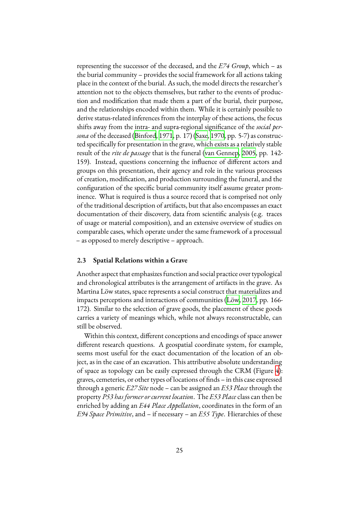representing the successor of the deceased, and the *E74 Group*, which – as the burial community – provides the social framework for all actions taking place in the context of the burial. As such, the model directs the researcher's attention not to the objects themselves, but rather to the events of production and modification that made them a part of the burial, their purpose, and the relationships encoded within them. While it is certainly possible to derive status-related inferences from the interplay of these actions, the focus shifts away from the intra- and supra-regional significance of the *social persona* of the deceased [\(Binford,](#page-17-6) [1971,](#page-17-6) p. 17)([Saxe](#page-20-3), [1970](#page-20-3), pp. 5-7) as constructed specifically for presentation in the grave, which exists as a relatively stable result of the *rite de passage* that is the funeral([van Gennep,](#page-20-4) [2005](#page-20-4), pp. 142- 159). Instead, questions concerning the influence of different actors and groups on this presentation, their agency and role in the various processes of creation, modification, and production surrounding the funeral, and the configuration of the specific burial community itself assume greater prominence. What is required is thus a source record that is comprised not only of the traditional description of artifacts, but that also encompasses an exact documentation of their discovery, data from scientific analysis (e.g. traces of usage or material composition), and an extensive overview of studies on comparable cases, which operate under the same framework of a processual – as opposed to merely descriptive – approach.

#### **2.3 Spatial Relations within a Grave**

Another aspect that emphasizes function and social practice over typological and chronological attributes is the arrangement of artifacts in the grave. As Martina Löw states, space represents a social construct that materializes and impacts perceptions and interactions of communities([Löw,](#page-19-7) [2017](#page-19-7), pp. 166- 172). Similar to the selection of grave goods, the placement of these goods carries a variety of meanings which, while not always reconstructable, can still be observed.

Within this context, different conceptions and encodings of space answer different research questions. A geospatial coordinate system, for example, seems most useful for the exact documentation of the location of an object, as in the case of an excavation. This attributive absolute understanding of space as topology can be easily expressed through the CRM (Figure [4](#page-10-1)): graves, cemeteries, or other types of locations of finds – in this case expressed through a generic *E27 Site* node – can be assigned an *E53 Place* through the property *P53 has former or current location*. The *E53 Place* class can then be enriched by adding an *E44 Place Appellation*, coordinates in the form of an *E94 Space Primitive*, and – if necessary – an *E55 Type*. Hierarchies of these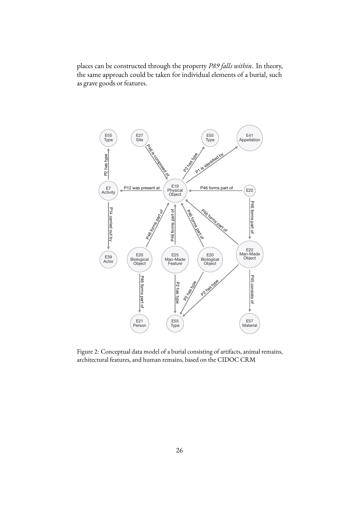places can be constructed through the property *P89 falls within*. In theory, the same approach could be taken for individual elements of a burial, such as grave goods or features.

<span id="page-9-0"></span>

Figure 2: Conceptual data model of a burial consisting of artifacts, animal remains, architectural features, and human remains, based on the CIDOC CRM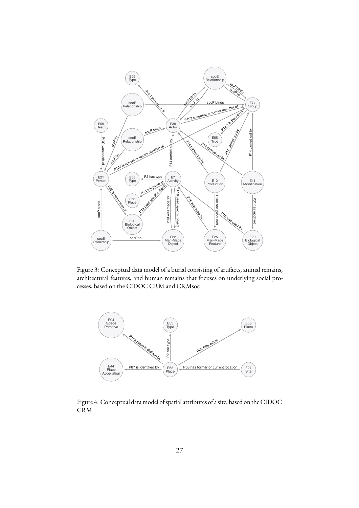<span id="page-10-0"></span>

Figure 3: Conceptual data model of a burial consisting of artifacts, animal remains, architectural features, and human remains that focuses on underlying social processes, based on the CIDOC CRM and CRMsoc

<span id="page-10-1"></span>

Figure 4: Conceptual data model of spatial attributes of a site, based on the CIDOC CRM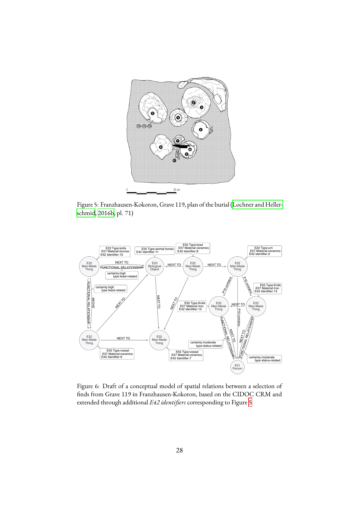<span id="page-11-0"></span>

Figure 5: Franzhausen-Kokoron, Grave 119, plan of the burial([Lochner and Heller](#page-19-8)[schmid,](#page-19-8) [2016b](#page-19-8), pl. 71)

<span id="page-11-1"></span>

Figure 6: Draft of a conceptual model of spatial relations between a selection of finds from Grave 119 in Franzhausen-Kokoron, based on the CIDOC CRM and extended through additional *E42 identifiers* corresponding to Figure [5](#page-11-0)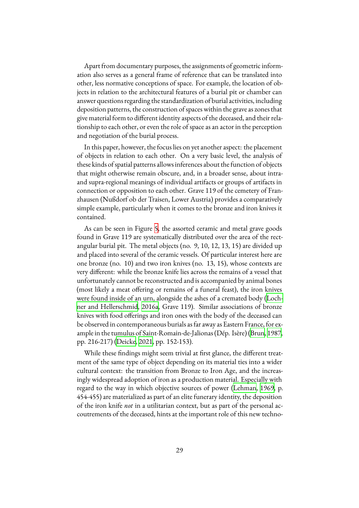Apart from documentary purposes, the assignments of geometric information also serves as a general frame of reference that can be translated into other, less normative conceptions of space. For example, the location of objects in relation to the architectural features of a burial pit or chamber can answer questions regarding the standardization of burial activities, including deposition patterns, the construction of spaces within the grave as zones that give material form to different identity aspects of the deceased, and their relationship to each other, or even the role of space as an actor in the perception and negotiation of the burial process.

In this paper, however, the focus lies on yet another aspect: the placement of objects in relation to each other. On a very basic level, the analysis of these kinds of spatial patterns allows inferences about the function of objects that might otherwise remain obscure, and, in a broader sense, about intraand supra-regional meanings of individual artifacts or groups of artifacts in connection or opposition to each other. Grave 119 of the cemetery of Franzhausen (Nußdorf ob der Traisen, Lower Austria) provides a comparatively simple example, particularly when it comes to the bronze and iron knives it contained.

As can be seen in Figure [5,](#page-11-0) the assorted ceramic and metal grave goods found in Grave 119 are systematically distributed over the area of the rectangular burial pit. The metal objects (no. 9, 10, 12, 13, 15) are divided up and placed into several of the ceramic vessels. Of particular interest here are one bronze (no. 10) and two iron knives (no. 13, 15), whose contexts are very different: while the bronze knife lies across the remains of a vessel that unfortunately cannot be reconstructed and is accompanied by animal bones (most likely a meat offering or remains of a funeral feast), the iron knives were found inside of an urn, alongside the ashes of a cremated body [\(Loch](#page-19-9)[ner and Hellerschmid,](#page-19-9) [2016a,](#page-19-9) Grave 119). Similar associations of bronze knives with food offerings and iron ones with the body of the deceased can be observed in contemporaneous burials as far away as Eastern France, for example in the tumulus of Saint-Romain-de-Jalionas (Dép. Isère) [\(Brun,](#page-17-7) [1987](#page-17-7), pp. 216-217) [\(Deicke,](#page-18-3) [2021](#page-18-3), pp. 152-153).

While these findings might seem trivial at first glance, the different treatment of the same type of object depending on its material ties into a wider cultural context: the transition from Bronze to Iron Age, and the increasingly widespread adoption of iron as a production material. Especially with regard to the way in which objective sources of power([Lehman](#page-19-10), [1969](#page-19-10), p. 454-455) are materialized as part of an elite funerary identity, the deposition of the iron knife *not* in a utilitarian context, but as part of the personal accoutrements of the deceased, hints at the important role of this new techno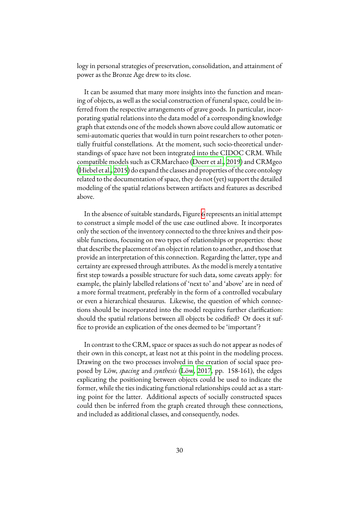logy in personal strategies of preservation, consolidation, and attainment of power as the Bronze Age drew to its close.

It can be assumed that many more insights into the function and meaning of objects, as well as the social construction of funeral space, could be inferred from the respective arrangements of grave goods. In particular, incorporating spatial relations into the data model of a corresponding knowledge graph that extends one of the models shown above could allow automatic or semi-automatic queries that would in turn point researchers to other potentially fruitful constellations. At the moment, such socio-theoretical understandings of space have not been integrated into the CIDOC CRM. While compatible models such as CRMarchaeo [\(Doerr et al.](#page-18-7), [2019\)](#page-18-7) and CRMgeo ([Hiebel et al.](#page-18-8), [2015\)](#page-18-8) do expand the classes and properties of the core ontology related to the documentation of space, they do not (yet) support the detailed modeling of the spatial relations between artifacts and features as described above.

In the absence of suitable standards, Figure [6](#page-11-1) represents an initial attempt to construct a simple model of the use case outlined above. It incorporates only the section of the inventory connected to the three knives and their possible functions, focusing on two types of relationships or properties: those that describe the placement of an object in relation to another, and those that provide an interpretation of this connection. Regarding the latter, type and certainty are expressed through attributes. As the model is merely a tentative first step towards a possible structure for such data, some caveats apply: for example, the plainly labelled relations of 'next to' and 'above' are in need of a more formal treatment, preferably in the form of a controlled vocabulary or even a hierarchical thesaurus. Likewise, the question of which connections should be incorporated into the model requires further clarification: should the spatial relations between all objects be codified? Or does it suffice to provide an explication of the ones deemed to be 'important'?

In contrast to the CRM, space or spaces as such do not appear as nodes of their own in this concept, at least not at this point in the modeling process. Drawing on the two processes involved in the creation of social space proposed by Löw, *spacing* and *synthesis* [\(Löw](#page-19-7), [2017](#page-19-7), pp. 158-161), the edges explicating the positioning between objects could be used to indicate the former, while the ties indicating functional relationships could act as a starting point for the latter. Additional aspects of socially constructed spaces could then be inferred from the graph created through these connections, and included as additional classes, and consequently, nodes.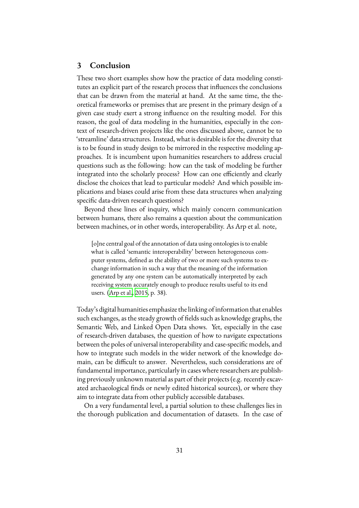#### **3 Conclusion**

These two short examples show how the practice of data modeling constitutes an explicit part of the research process that influences the conclusions that can be drawn from the material at hand. At the same time, the theoretical frameworks or premises that are present in the primary design of a given case study exert a strong influence on the resulting model. For this reason, the goal of data modeling in the humanities, especially in the context of research-driven projects like the ones discussed above, cannot be to 'streamline' data structures. Instead, what is desirable is for the diversity that is to be found in study design to be mirrored in the respective modeling approaches. It is incumbent upon humanities researchers to address crucial questions such as the following: how can the task of modeling be further integrated into the scholarly process? How can one efficiently and clearly disclose the choices that lead to particular models? And which possible implications and biases could arise from these data structures when analyzing specific data-driven research questions?

Beyond these lines of inquiry, which mainly concern communication between humans, there also remains a question about the communication between machines, or in other words, interoperability. As Arp et al. note,

[o]ne central goal of the annotation of data using ontologies is to enable what is called 'semantic interoperability' between heterogeneous computer systems, defined as the ability of two or more such systems to exchange information in such a way that the meaning of the information generated by any one system can be automatically interpreted by each receiving system accurately enough to produce results useful to its end users. [\(Arp et al.](#page-17-3), [2015](#page-17-3), p. 38).

Today's digital humanities emphasize the linking of information that enables such exchanges, as the steady growth of fields such as knowledge graphs, the Semantic Web, and Linked Open Data shows. Yet, especially in the case of research-driven databases, the question of how to navigate expectations between the poles of universal interoperability and case-specific models, and how to integrate such models in the wider network of the knowledge domain, can be difficult to answer. Nevertheless, such considerations are of fundamental importance, particularly in cases where researchers are publishing previously unknown material as part of their projects (e.g. recently excavated archaeological finds or newly edited historical sources), or where they aim to integrate data from other publicly accessible databases.

On a very fundamental level, a partial solution to these challenges lies in the thorough publication and documentation of datasets. In the case of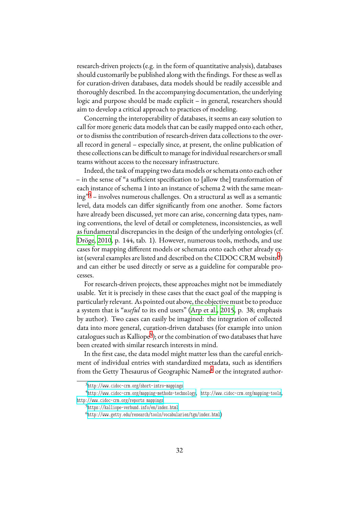research-driven projects (e.g. in the form of quantitative analysis), databases should customarily be published along with the findings. For these as well as for curation-driven databases, data models should be readily accessible and thoroughly described. In the accompanying documentation, the underlying logic and purpose should be made explicit – in general, researchers should aim to develop a critical approach to practices of modeling.

Concerning the interoperability of databases, it seems an easy solution to call for more generic data models that can be easily mapped onto each other, or to dismiss the contribution of research-driven data collections to the overall record in general – especially since, at present, the online publication of these collections can be difficult to manage for individual researchers or small teams without access to the necessary infrastructure.

Indeed, the task of mapping two data models or schemata onto each other – in the sense of "a sufficient specification to [allow the] transformation of each instance of schema 1 into an instance of schema 2 with the same meaning"[3](#page-15-0) – involves numerous challenges. On a structural as well as a semantic level, data models can differ significantly from one another. Some factors have already been discussed, yet more can arise, concerning data types, naming conventions, the level of detail or completeness, inconsistencies, as well as fundamental discrepancies in the design of the underlying ontologies (cf. [Dröge](#page-18-9), [2010,](#page-18-9) p. 144, tab. 1). However, numerous tools, methods, and use cases for mapping different models or schemata onto each other already ex-ist (several examples are listed and described on the CIDOC CRM website<sup>[4](#page-15-1)</sup>) and can either be used directly or serve as a guideline for comparable processes.

For research-driven projects, these approaches might not be immediately usable. Yet it is precisely in these cases that the exact goal of the mapping is particularly relevant. As pointed out above, the objective must be to produce a system that is "*useful* to its end users" [\(Arp et al.,](#page-17-3) [2015](#page-17-3), p. 38; emphasis by author). Two cases can easily be imagined: the integration of collected data into more general, curation-driven databases (for example into union catalogues such as Kalliope<sup>[5](#page-15-2)</sup>); or the combination of two databases that have been created with similar research interests in mind.

In the first case, the data model might matter less than the careful enrichment of individual entries with standardized metadata, such as identifiers from the Getty Thesaurus of Geographic Names<sup>[6](#page-15-3)</sup> or the integrated author-

<span id="page-15-1"></span><span id="page-15-0"></span><sup>3</sup> <http://www.cidoc-crm.org/short-intro-mappings>

<sup>4</sup> <http://www.cidoc-crm.org/mapping-methods-technology>, <http://www.cidoc-crm.org/mapping-tools>, [http://www.cidoc-crm.org/reports\\_mappings](http://www.cidoc-crm.org/reports_mappings)

<span id="page-15-2"></span><sup>5</sup> <https://kalliope-verbund.info/en/index.html>

<span id="page-15-3"></span><sup>6</sup> <http://www.getty.edu/research/tools/vocabularies/tgn/index.html>)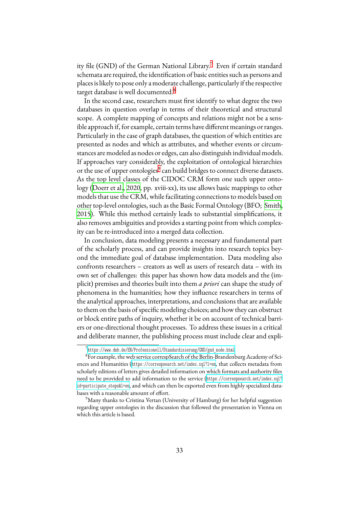ity file (GND) of the German National Library.<sup>[7](#page-16-0)</sup> Even if certain standard schemata are required, the identification of basic entities such as persons and places is likely to pose only a moderate challenge, particularly if the respective target database is well documented.<sup>[8](#page-16-1)</sup>

In the second case, researchers must first identify to what degree the two databases in question overlap in terms of their theoretical and structural scope. A complete mapping of concepts and relations might not be a sensible approach if, for example, certain terms have different meanings or ranges. Particularly in the case of graph databases, the question of which entities are presented as nodes and which as attributes, and whether events or circumstances are modeled as nodes or edges, can also distinguish individual models. If approaches vary considerably, the exploitation of ontological hierarchies or the use of upper ontologies<sup>[9](#page-16-2)</sup> can build bridges to connect diverse datasets. As the top level classes of the CIDOC CRM form one such upper ontology [\(Doerr et al.](#page-18-6), [2020,](#page-18-6) pp. xviii-xx), its use allows basic mappings to other models that use the CRM, while facilitating connections to models based on other top-level ontologies, such as the Basic Formal Ontology (BFO; [Smith](#page-20-5), [2015\)](#page-20-5). While this method certainly leads to substantial simplifications, it also removes ambiguities and provides a starting point from which complexity can be re-introduced into a merged data collection.

In conclusion, data modeling presents a necessary and fundamental part of the scholarly process, and can provide insights into research topics beyond the immediate goal of database implementation. Data modeling also confronts researchers – creators as well as users of research data – with its own set of challenges: this paper has shown how data models and the (implicit) premises and theories built into them *a priori* can shape the study of phenomena in the humanities; how they influence researchers in terms of the analytical approaches, interpretations, and conclusions that are available to them on the basis of specific modeling choices; and how they can obstruct or block entire paths of inquiry, whether it be on account of technical barriers or one-directional thought processes. To address these issues in a critical and deliberate manner, the publishing process must include clear and expli-

<span id="page-16-1"></span><span id="page-16-0"></span><sup>7</sup> [https://www.dnb.de/EN/Professionell/Standardisierung/GND/gnd\\_node.html](https://www.dnb.de/EN/Professionell/Standardisierung/GND/gnd_node.html)

<sup>8</sup>For example, the web service correspSearch of the Berlin-Brandenburg Academy of Sciences and Humanities (<https://correspsearch.net/index.xql?l=en>, that collects metadata from scholarly editions of letters gives detailed information on which formats and authority files need to be provided to add information to the service ([https://correspsearch.net/index.xql?](https://correspsearch.net/index.xql?id=participate_steps&l=en) [id=participate\\_steps&l=en](https://correspsearch.net/index.xql?id=participate_steps&l=en), and which can then be exported even from highly specialized databases with a reasonable amount of effort.

<span id="page-16-2"></span><sup>&</sup>lt;sup>9</sup>Many thanks to Cristina Vertan (University of Hamburg) for her helpful suggestion regarding upper ontologies in the discussion that followed the presentation in Vienna on which this article is based.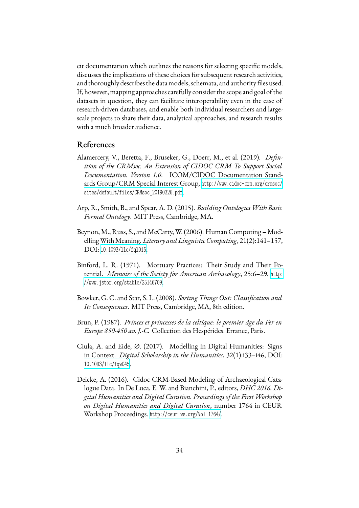cit documentation which outlines the reasons for selecting specific models, discusses the implications of these choices for subsequent research activities, and thoroughly describes the data models, schemata, and authority files used. If, however, mapping approaches carefully consider the scope and goal of the datasets in question, they can facilitate interoperability even in the case of research-driven databases, and enable both individual researchers and largescale projects to share their data, analytical approaches, and research results with a much broader audience.

## **References**

- <span id="page-17-5"></span>Alamercery, V., Beretta, F., Bruseker, G., Doerr, M., et al. (2019). *Definition of the CRMsoc. An Extension of CIDOC CRM To Support Social Documentation. Version 1.0*. ICOM/CIDOC Documentation Standards Group/CRM Special Interest Group, [http://www.cidoc-crm.org/crmsoc/](http://www.cidoc-crm.org/crmsoc/sites/default/files/CRMsoc_20190326.pdf) [sites/default/files/CRMsoc\\_20190326.pdf](http://www.cidoc-crm.org/crmsoc/sites/default/files/CRMsoc_20190326.pdf).
- <span id="page-17-3"></span>Arp, R., Smith, B., and Spear, A. D. (2015). *Building Ontologies With Basic Formal Ontology*. MIT Press, Cambridge, MA.
- <span id="page-17-0"></span>Beynon, M., Russ, S., and McCarty, W. (2006). Human Computing – ModellingWithMeaning. *Literary and Linguistic Computing*, 21(2):141–157, DOI: [10.1093/llc/fql015](https://dx.doi.org/10.1093/llc/fql015).
- <span id="page-17-6"></span>Binford, L. R. (1971). Mortuary Practices: Their Study and Their Potential. *Memoirs of the Society for American Archaeology*, 25:6–29, [http:](http://www.jstor.org/stable/25146709) [//www.jstor.org/stable/25146709](http://www.jstor.org/stable/25146709).
- <span id="page-17-2"></span>Bowker, G. C. and Star, S. L. (2008). *Sorting Things Out: Classification and Its Consequences*. MIT Press, Cambridge, MA, 8th edition.
- <span id="page-17-7"></span>Brun, P. (1987). *Princes et princesses de la celtique: le premier âge du Fer en Europe 850-450 av. J.-C.* Collection des Hespérides. Errance, Paris.
- <span id="page-17-1"></span>Ciula, A. and Eide, Ø. (2017). Modelling in Digital Humanities: Signs in Context. *Digital Scholarship in the Humanities*, 32(1):i33–i46, DOI: [10.1093/llc/fqw045](https://dx.doi.org/10.1093/llc/fqw045).
- <span id="page-17-4"></span>Deicke, A. (2016). Cidoc CRM-Based Modeling of Archaeological Catalogue Data. In De Luca, E. W. and Bianchini, P., editors, *DHC 2016. Digital Humanities and Digital Curation. Proceedings of the First Workshop on Digital Humanities and Digital Curation*, number 1764 in CEUR Workshop Proceedings. <http://ceur-ws.org/Vol-1764/>.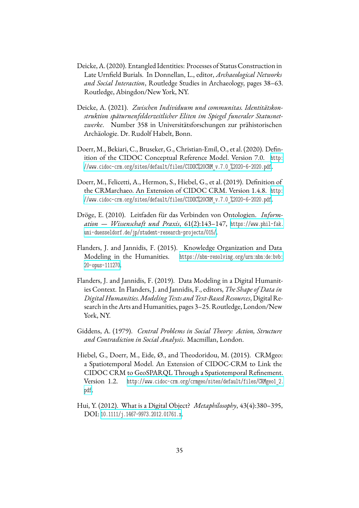- <span id="page-18-4"></span>Deicke, A. (2020). Entangled Identities: Processes of Status Construction in Late Urnfield Burials. In Donnellan, L., editor, *Archaeological Networks and Social Interaction*, Routledge Studies in Archaeology, pages 38–63. Routledge, Abingdon/New York, NY.
- <span id="page-18-3"></span>Deicke, A. (2021). *Zwischen Individuum und communitas. Identitätskonstruktion späturnenfelderzeitlicher Eliten im Spiegel funeraler Statusnetzwerke*. Number 358 in Universitätsforschungen zur prähistorischen Archäologie. Dr. Rudolf Habelt, Bonn.
- <span id="page-18-6"></span>Doerr, M., Bekiari, C., Bruseker, G., Christian-Emil, O., et al. (2020). Definition of the CIDOC Conceptual Reference Model. Version 7.0. [http:](http://www.cidoc-crm.org/sites/default/files/CIDOC%20CRM_v.7.0_%2020-6-2020.pdf) [//www.cidoc-crm.org/sites/default/files/CIDOC%20CRM\\_v.7.0\\_%2020-6-2020.pdf](http://www.cidoc-crm.org/sites/default/files/CIDOC%20CRM_v.7.0_%2020-6-2020.pdf).
- <span id="page-18-7"></span>Doerr, M., Felicetti, A., Hermon, S., Hiebel, G., et al. (2019). Definition of the CRMarchaeo. An Extension of CIDOC CRM. Version 1.4.8. [http:](http://www.cidoc-crm.org/sites/default/files/CIDOC%20CRM_v.7.0_%2020-6-2020.pdf) [//www.cidoc-crm.org/sites/default/files/CIDOC%20CRM\\_v.7.0\\_%2020-6-2020.pdf](http://www.cidoc-crm.org/sites/default/files/CIDOC%20CRM_v.7.0_%2020-6-2020.pdf).
- <span id="page-18-9"></span>Dröge, E. (2010). Leitfaden für das Verbinden von Ontologien. *Information — Wissenschaft und Praxis*, 61(2):143–147, [https://www.phil-fak.](https://www.phil-fak.uni-duesseldorf.de/jp/student-research-projects/015/) [uni-duesseldorf.de/jp/student-research-projects/015/](https://www.phil-fak.uni-duesseldorf.de/jp/student-research-projects/015/).
- <span id="page-18-0"></span>Flanders, J. and Jannidis, F. (2015). Knowledge Organization and Data Modeling in the Humanities. [https://nbn-resolving.org/urn:nbn:de:bvb:](https://nbn-resolving.org/urn:nbn:de:bvb:20-opus-111270) [20-opus-111270](https://nbn-resolving.org/urn:nbn:de:bvb:20-opus-111270).
- <span id="page-18-1"></span>Flanders, J. and Jannidis, F. (2019). Data Modeling in a Digital Humanities Context. In Flanders, J. and Jannidis, F., editors, *The Shape of Data in Digital Humanities.Modeling Texts and Text-Based Resources*, Digital Research in the Arts and Humanities, pages 3–25. Routledge, London/New York, NY.
- <span id="page-18-5"></span>Giddens, A. (1979). *Central Problems in Social Theory: Action, Structure and Contradiction in Social Analysis*. Macmillan, London.
- <span id="page-18-8"></span>Hiebel, G., Doerr, M., Eide, Ø., and Theodoridou, M. (2015). CRMgeo: a Spatiotemporal Model. An Extension of CIDOC-CRM to Link the CIDOC CRM to GeoSPARQL Through a Spatiotemporal Refinement. Version 1.2. [http://www.cidoc-crm.org/crmgeo/sites/default/files/CRMgeo1\\_2.](http://www.cidoc-crm.org/crmgeo/sites/default/files/CRMgeo1_2.pdf) [pdf](http://www.cidoc-crm.org/crmgeo/sites/default/files/CRMgeo1_2.pdf).
- <span id="page-18-2"></span>Hui, Y. (2012). What is a Digital Object? *Metaphilosophy*, 43(4):380–395, DOI: [10.1111/j.1467-9973.2012.01761.x](https://dx.doi.org/10.1111/j.1467-9973.2012.01761.x).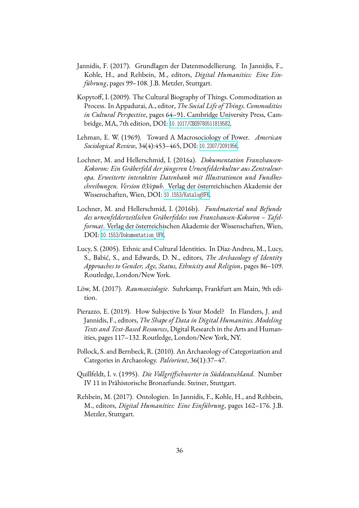- <span id="page-19-0"></span>Jannidis, F. (2017). Grundlagen der Datenmodellierung. In Jannidis, F., Kohle, H., and Rehbein, M., editors, *Digital Humanities: Eine Einführung*, pages 99–108. J.B. Metzler, Stuttgart.
- <span id="page-19-5"></span>Kopytoff, I. (2009). The Cultural Biography of Things. Commodization as Process. In Appadurai, A., editor, *The Social Life of Things. Commodities in Cultural Perspective*, pages 64–91. Cambridge University Press, Cambridge, MA, 7th edition, DOI: [10.1017/CBO9780511819582](https://dx.doi.org/10.1017/CBO9780511819582).
- <span id="page-19-10"></span>Lehman, E. W. (1969). Toward A Macrosociology of Power. *American Sociological Review*, 34(4):453–465, DOI: [10.2307/2091956](https://dx.doi.org/10.2307/2091956).
- <span id="page-19-9"></span>Lochner, M. and Hellerschmid, I. (2016a). *Dokumentation Franzhausen-Kokoron: Ein Gräberfeld der jüngeren Urnenfelderkultur aus Zentraleuropa. Erweiterte interaktive Datenbank mit Illustrationen und Fundbeschreibungen. Version 03/epub*. Verlag der österreichischen Akademie der Wissenschaften, Wien, DOI: [10.1553/KatalogUFK](https://dx.doi.org/10.1553/KatalogUFK).
- <span id="page-19-8"></span>Lochner, M. and Hellerschmid, I. (2016b). *Fundmaterial und Befunde des urnenfelderzeitlichen Gräberfeldes von Franzhausen-Kokoron – Tafelformat*. Verlag der österreichischen Akademie der Wissenschaften, Wien, DOI: 10.1553/Dokumentation UFK.
- <span id="page-19-4"></span>Lucy, S. (2005). Ethnic and Cultural Identities. In Díaz-Andreu, M., Lucy, S., Babić, S., and Edwards, D. N., editors, *The Archaeology of Identity Approaches to Gender, Age, Status, Ethnicity and Religion*, pages 86–109. Routledge, London/New York.
- <span id="page-19-7"></span>Löw, M. (2017). *Raumsoziologie*. Suhrkamp, Frankfurt am Main, 9th edition.
- <span id="page-19-3"></span>Pierazzo, E. (2019). How Subjective Is Your Model? In Flanders, J. and Jannidis, F., editors, *The Shape of Data in Digital Humanities. Modeling Texts and Text-Based Resources*, Digital Research in the Arts and Humanities, pages 117–132. Routledge, London/New York, NY.
- <span id="page-19-2"></span>Pollock, S. and Bernbeck, R. (2010). An Archaeology of Categorization and Categories in Archaeology. *Paléorient*, 36(1):37–47.
- <span id="page-19-6"></span>Quillfeldt, I. v. (1995). *Die Vollgriffschwerter in Süddeutschland*. Number IV 11 in Prähistorische Bronzefunde. Steiner, Stuttgart.
- <span id="page-19-1"></span>Rehbein, M. (2017). Ontologien. In Jannidis, F., Kohle, H., and Rehbein, M., editors, *Digital Humanities: Eine Einführung*, pages 162–176. J.B. Metzler, Stuttgart.